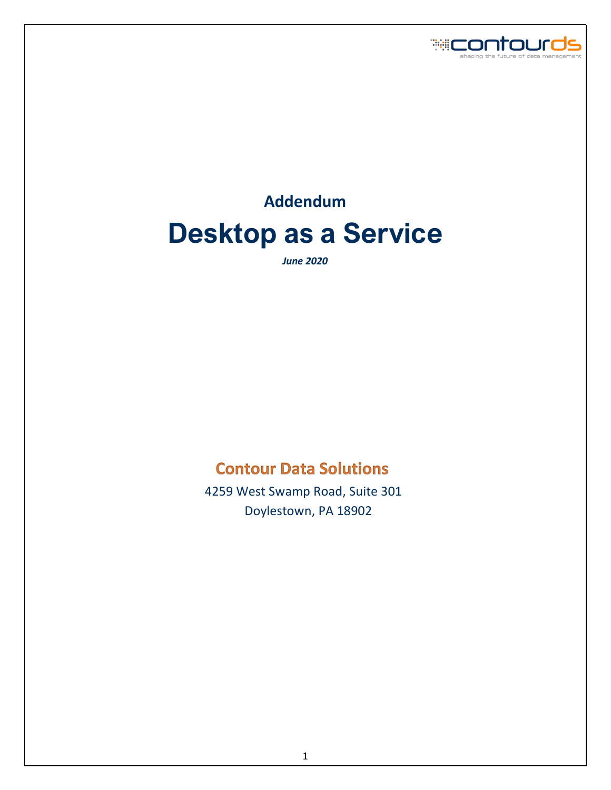

# **Addendum Desktop as a Service**

*June 2020*

# **Contour Data Solutions**

 4259 West Swamp Road, Suite 301 Doylestown, PA 18902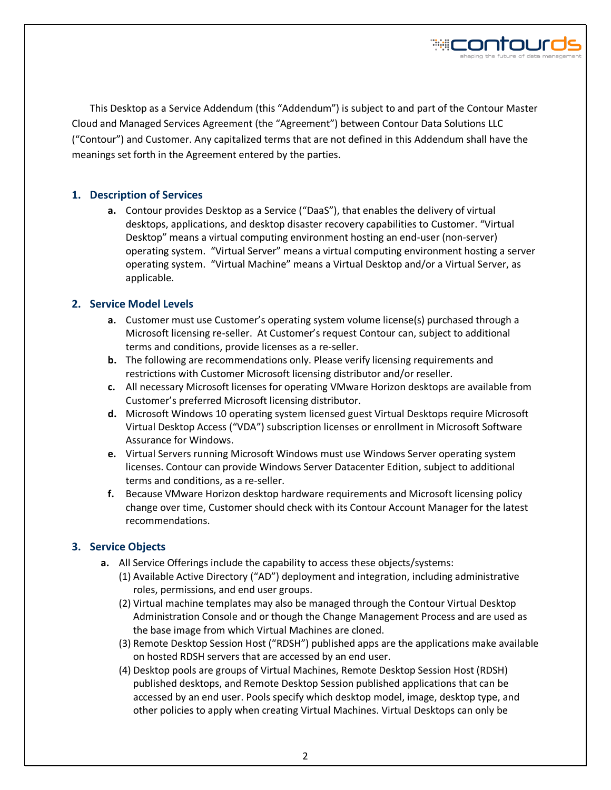

This Desktop as a Service Addendum (this "Addendum") is subject to and part of the Contour Master Cloud and Managed Services Agreement (the "Agreement") between Contour Data Solutions LLC ("Contour") and Customer. Any capitalized terms that are not defined in this Addendum shall have the meanings set forth in the Agreement entered by the parties.

# **1. Description of Services**

**a.** Contour provides Desktop as a Service ("DaaS"), that enables the delivery of virtual desktops, applications, and desktop disaster recovery capabilities to Customer. "Virtual Desktop" means a virtual computing environment hosting an end-user (non-server) operating system. "Virtual Server" means a virtual computing environment hosting a server operating system. "Virtual Machine" means a Virtual Desktop and/or a Virtual Server, as applicable.

# **2. Service Model Levels**

- **a.** Customer must use Customer's operating system volume license(s) purchased through a Microsoft licensing re-seller. At Customer's request Contour can, subject to additional terms and conditions, provide licenses as a re-seller.
- **b.** The following are recommendations only. Please verify licensing requirements and restrictions with Customer Microsoft licensing distributor and/or reseller.
- **c.** All necessary Microsoft licenses for operating VMware Horizon desktops are available from Customer's preferred Microsoft licensing distributor.
- **d.** Microsoft Windows 10 operating system licensed guest Virtual Desktops require Microsoft Virtual Desktop Access ("VDA") subscription licenses or enrollment in Microsoft Software Assurance for Windows.
- **e.** Virtual Servers running Microsoft Windows must use Windows Server operating system licenses. Contour can provide Windows Server Datacenter Edition, subject to additional terms and conditions, as a re-seller.
- **f.** Because VMware Horizon desktop hardware requirements and Microsoft licensing policy change over time, Customer should check with its Contour Account Manager for the latest recommendations.

#### **3. Service Objects**

- **a.** All Service Offerings include the capability to access these objects/systems:
	- (1) Available Active Directory ("AD") deployment and integration, including administrative roles, permissions, and end user groups.
	- (2) Virtual machine templates may also be managed through the Contour Virtual Desktop Administration Console and or though the Change Management Process and are used as the base image from which Virtual Machines are cloned.
	- (3) Remote Desktop Session Host ("RDSH") published apps are the applications make available on hosted RDSH servers that are accessed by an end user.
	- (4) Desktop pools are groups of Virtual Machines, Remote Desktop Session Host (RDSH) published desktops, and Remote Desktop Session published applications that can be accessed by an end user. Pools specify which desktop model, image, desktop type, and other policies to apply when creating Virtual Machines. Virtual Desktops can only be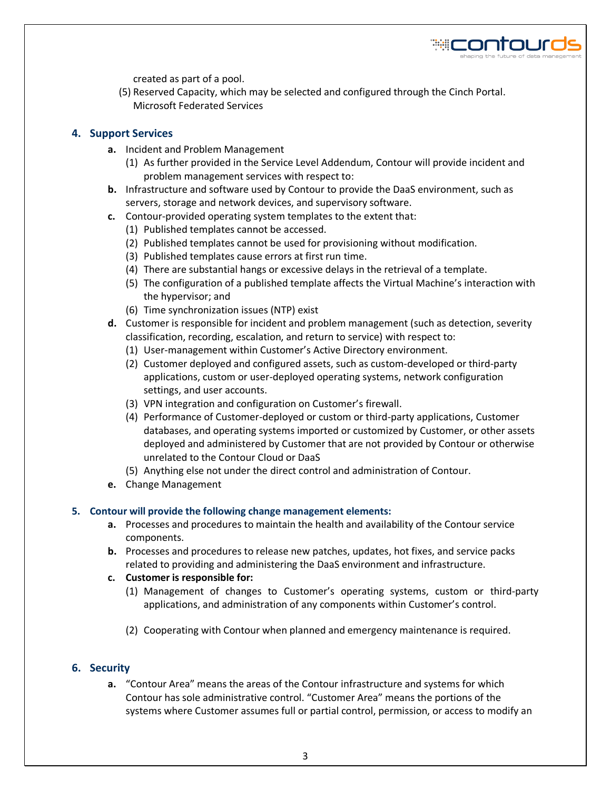

created as part of a pool.

(5) Reserved Capacity, which may be selected and configured through the Cinch Portal. Microsoft Federated Services

# **4. Support Services**

- **a.** Incident and Problem Management
	- (1) As further provided in the Service Level Addendum, Contour will provide incident and problem management services with respect to:
- **b.** Infrastructure and software used by Contour to provide the DaaS environment, such as servers, storage and network devices, and supervisory software.
- **c.** Contour-provided operating system templates to the extent that:
	- (1) Published templates cannot be accessed.
	- (2) Published templates cannot be used for provisioning without modification.
	- (3) Published templates cause errors at first run time.
	- (4) There are substantial hangs or excessive delays in the retrieval of a template.
	- (5) The configuration of a published template affects the Virtual Machine's interaction with the hypervisor; and
	- (6) Time synchronization issues (NTP) exist
- **d.** Customer is responsible for incident and problem management (such as detection, severity classification, recording, escalation, and return to service) with respect to:
	- (1) User-management within Customer's Active Directory environment.
	- (2) Customer deployed and configured assets, such as custom-developed or third-party applications, custom or user-deployed operating systems, network configuration settings, and user accounts.
	- (3) VPN integration and configuration on Customer's firewall.
	- (4) Performance of Customer-deployed or custom or third-party applications, Customer databases, and operating systems imported or customized by Customer, or other assets deployed and administered by Customer that are not provided by Contour or otherwise unrelated to the Contour Cloud or DaaS
	- (5) Anything else not under the direct control and administration of Contour.
- **e.** Change Management

#### **5. Contour will provide the following change management elements:**

- **a.** Processes and procedures to maintain the health and availability of the Contour service components.
- **b.** Processes and procedures to release new patches, updates, hot fixes, and service packs related to providing and administering the DaaS environment and infrastructure.
- **c. Customer is responsible for:** 
	- (1) Management of changes to Customer's operating systems, custom or third-party applications, and administration of any components within Customer's control.
	- (2) Cooperating with Contour when planned and emergency maintenance is required.

# **6. Security**

**a.** "Contour Area" means the areas of the Contour infrastructure and systems for which Contour has sole administrative control. "Customer Area" means the portions of the systems where Customer assumes full or partial control, permission, or access to modify an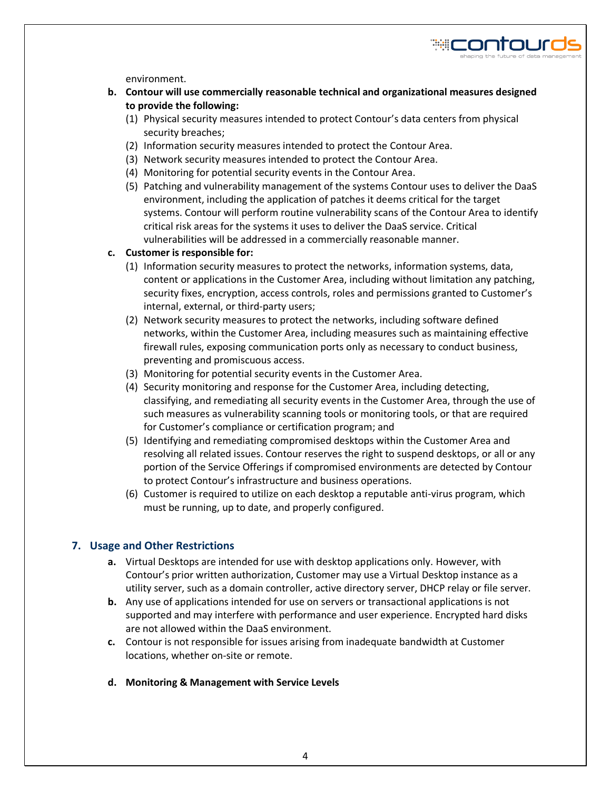

environment.

- **b. Contour will use commercially reasonable technical and organizational measures designed to provide the following:** 
	- (1) Physical security measures intended to protect Contour's data centers from physical security breaches;
	- (2) Information security measures intended to protect the Contour Area.
	- (3) Network security measures intended to protect the Contour Area.
	- (4) Monitoring for potential security events in the Contour Area.
	- (5) Patching and vulnerability management of the systems Contour uses to deliver the DaaS environment, including the application of patches it deems critical for the target systems. Contour will perform routine vulnerability scans of the Contour Area to identify critical risk areas for the systems it uses to deliver the DaaS service. Critical vulnerabilities will be addressed in a commercially reasonable manner.

# **c. Customer is responsible for:**

- (1) Information security measures to protect the networks, information systems, data, content or applications in the Customer Area, including without limitation any patching, security fixes, encryption, access controls, roles and permissions granted to Customer's internal, external, or third-party users;
- (2) Network security measures to protect the networks, including software defined networks, within the Customer Area, including measures such as maintaining effective firewall rules, exposing communication ports only as necessary to conduct business, preventing and promiscuous access.
- (3) Monitoring for potential security events in the Customer Area.
- (4) Security monitoring and response for the Customer Area, including detecting, classifying, and remediating all security events in the Customer Area, through the use of such measures as vulnerability scanning tools or monitoring tools, or that are required for Customer's compliance or certification program; and
- (5) Identifying and remediating compromised desktops within the Customer Area and resolving all related issues. Contour reserves the right to suspend desktops, or all or any portion of the Service Offerings if compromised environments are detected by Contour to protect Contour's infrastructure and business operations.
- (6) Customer is required to utilize on each desktop a reputable anti-virus program, which must be running, up to date, and properly configured.

# **7. Usage and Other Restrictions**

- **a.** Virtual Desktops are intended for use with desktop applications only. However, with Contour's prior written authorization, Customer may use a Virtual Desktop instance as a utility server, such as a domain controller, active directory server, DHCP relay or file server.
- **b.** Any use of applications intended for use on servers or transactional applications is not supported and may interfere with performance and user experience. Encrypted hard disks are not allowed within the DaaS environment.
- **c.** Contour is not responsible for issues arising from inadequate bandwidth at Customer locations, whether on-site or remote.
- **d. Monitoring & Management with Service Levels**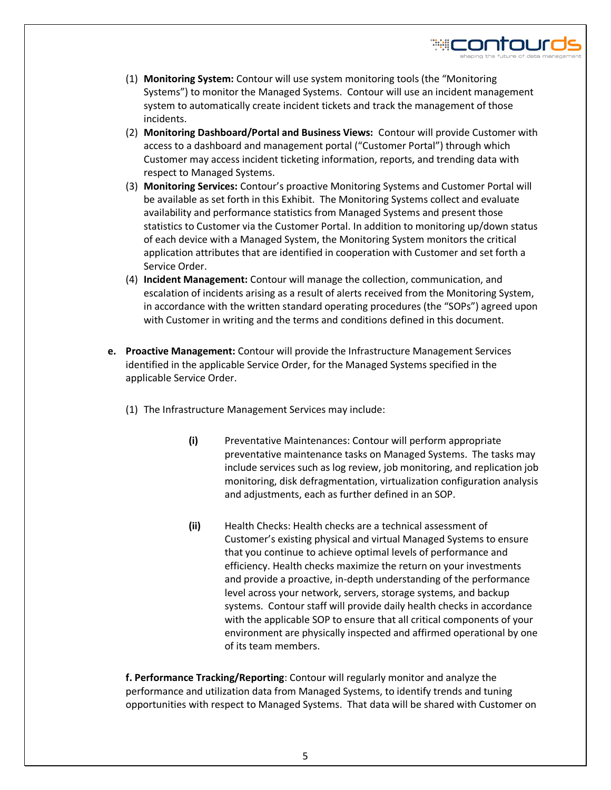

≋⊏ontour

- (2) **Monitoring Dashboard/Portal and Business Views:** Contour will provide Customer with access to a dashboard and management portal ("Customer Portal") through which Customer may access incident ticketing information, reports, and trending data with respect to Managed Systems.
- (3) **Monitoring Services:** Contour's proactive Monitoring Systems and Customer Portal will be available as set forth in this Exhibit. The Monitoring Systems collect and evaluate availability and performance statistics from Managed Systems and present those statistics to Customer via the Customer Portal. In addition to monitoring up/down status of each device with a Managed System, the Monitoring System monitors the critical application attributes that are identified in cooperation with Customer and set forth a Service Order.
- (4) **Incident Management:** Contour will manage the collection, communication, and escalation of incidents arising as a result of alerts received from the Monitoring System, in accordance with the written standard operating procedures (the "SOPs") agreed upon with Customer in writing and the terms and conditions defined in this document.
- **e. Proactive Management:** Contour will provide the Infrastructure Management Services identified in the applicable Service Order, for the Managed Systems specified in the applicable Service Order.
	- (1) The Infrastructure Management Services may include:
		- **(i)** Preventative Maintenances: Contour will perform appropriate preventative maintenance tasks on Managed Systems. The tasks may include services such as log review, job monitoring, and replication job monitoring, disk defragmentation, virtualization configuration analysis and adjustments, each as further defined in an SOP.
		- **(ii)** Health Checks: Health checks are a technical assessment of Customer's existing physical and virtual Managed Systems to ensure that you continue to achieve optimal levels of performance and efficiency. Health checks maximize the return on your investments and provide a proactive, in-depth understanding of the performance level across your network, servers, storage systems, and backup systems. Contour staff will provide daily health checks in accordance with the applicable SOP to ensure that all critical components of your environment are physically inspected and affirmed operational by one of its team members.

**f. Performance Tracking/Reporting**: Contour will regularly monitor and analyze the performance and utilization data from Managed Systems, to identify trends and tuning opportunities with respect to Managed Systems. That data will be shared with Customer on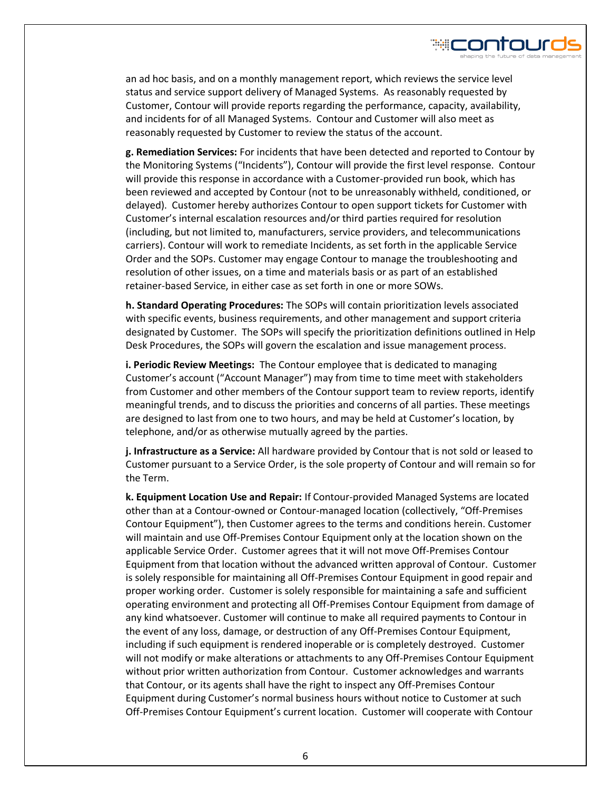

an ad hoc basis, and on a monthly management report, which reviews the service level status and service support delivery of Managed Systems. As reasonably requested by Customer, Contour will provide reports regarding the performance, capacity, availability, and incidents for of all Managed Systems. Contour and Customer will also meet as reasonably requested by Customer to review the status of the account.

**g. Remediation Services:** For incidents that have been detected and reported to Contour by the Monitoring Systems ("Incidents"), Contour will provide the first level response. Contour will provide this response in accordance with a Customer-provided run book, which has been reviewed and accepted by Contour (not to be unreasonably withheld, conditioned, or delayed). Customer hereby authorizes Contour to open support tickets for Customer with Customer's internal escalation resources and/or third parties required for resolution (including, but not limited to, manufacturers, service providers, and telecommunications carriers). Contour will work to remediate Incidents, as set forth in the applicable Service Order and the SOPs. Customer may engage Contour to manage the troubleshooting and resolution of other issues, on a time and materials basis or as part of an established retainer-based Service, in either case as set forth in one or more SOWs.

**h. Standard Operating Procedures:** The SOPs will contain prioritization levels associated with specific events, business requirements, and other management and support criteria designated by Customer. The SOPs will specify the prioritization definitions outlined in Help Desk Procedures, the SOPs will govern the escalation and issue management process.

**i. Periodic Review Meetings:** The Contour employee that is dedicated to managing Customer's account ("Account Manager") may from time to time meet with stakeholders from Customer and other members of the Contour support team to review reports, identify meaningful trends, and to discuss the priorities and concerns of all parties. These meetings are designed to last from one to two hours, and may be held at Customer's location, by telephone, and/or as otherwise mutually agreed by the parties.

**j. Infrastructure as a Service:** All hardware provided by Contour that is not sold or leased to Customer pursuant to a Service Order, is the sole property of Contour and will remain so for the Term.

**k. Equipment Location Use and Repair:** If Contour-provided Managed Systems are located other than at a Contour-owned or Contour-managed location (collectively, "Off-Premises Contour Equipment"), then Customer agrees to the terms and conditions herein. Customer will maintain and use Off-Premises Contour Equipment only at the location shown on the applicable Service Order. Customer agrees that it will not move Off-Premises Contour Equipment from that location without the advanced written approval of Contour. Customer is solely responsible for maintaining all Off-Premises Contour Equipment in good repair and proper working order. Customer is solely responsible for maintaining a safe and sufficient operating environment and protecting all Off-Premises Contour Equipment from damage of any kind whatsoever. Customer will continue to make all required payments to Contour in the event of any loss, damage, or destruction of any Off-Premises Contour Equipment, including if such equipment is rendered inoperable or is completely destroyed. Customer will not modify or make alterations or attachments to any Off-Premises Contour Equipment without prior written authorization from Contour. Customer acknowledges and warrants that Contour, or its agents shall have the right to inspect any Off-Premises Contour Equipment during Customer's normal business hours without notice to Customer at such Off-Premises Contour Equipment's current location. Customer will cooperate with Contour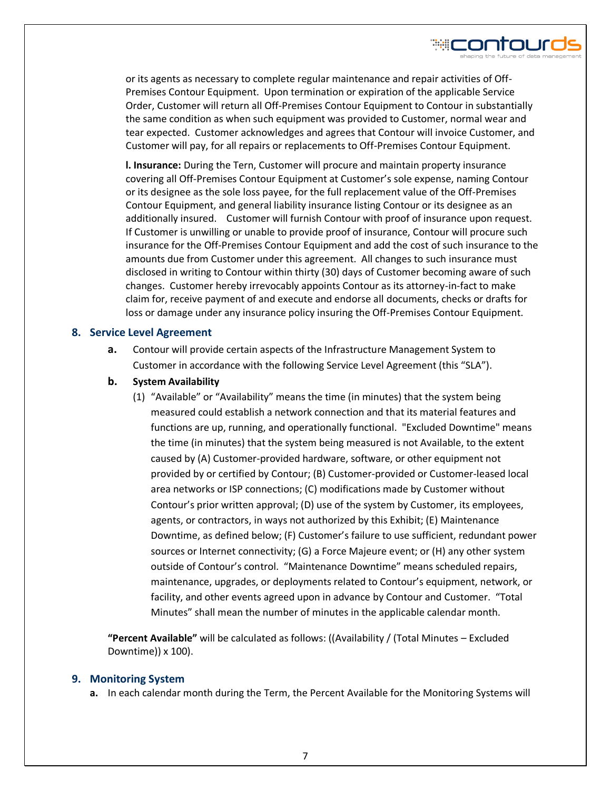

₩⊂ontour

**l. Insurance:** During the Tern, Customer will procure and maintain property insurance covering all Off-Premises Contour Equipment at Customer's sole expense, naming Contour or its designee as the sole loss payee, for the full replacement value of the Off-Premises Contour Equipment, and general liability insurance listing Contour or its designee as an additionally insured. Customer will furnish Contour with proof of insurance upon request. If Customer is unwilling or unable to provide proof of insurance, Contour will procure such insurance for the Off-Premises Contour Equipment and add the cost of such insurance to the amounts due from Customer under this agreement. All changes to such insurance must disclosed in writing to Contour within thirty (30) days of Customer becoming aware of such changes. Customer hereby irrevocably appoints Contour as its attorney-in-fact to make claim for, receive payment of and execute and endorse all documents, checks or drafts for loss or damage under any insurance policy insuring the Off-Premises Contour Equipment.

## **8. Service Level Agreement**

- **a.** Contour will provide certain aspects of the Infrastructure Management System to Customer in accordance with the following Service Level Agreement (this "SLA").
- **b. System Availability** 
	- (1) "Available" or "Availability" means the time (in minutes) that the system being measured could establish a network connection and that its material features and functions are up, running, and operationally functional. "Excluded Downtime" means the time (in minutes) that the system being measured is not Available, to the extent caused by (A) Customer-provided hardware, software, or other equipment not provided by or certified by Contour; (B) Customer-provided or Customer-leased local area networks or ISP connections; (C) modifications made by Customer without Contour's prior written approval; (D) use of the system by Customer, its employees, agents, or contractors, in ways not authorized by this Exhibit; (E) Maintenance Downtime, as defined below; (F) Customer's failure to use sufficient, redundant power sources or Internet connectivity; (G) a Force Majeure event; or (H) any other system outside of Contour's control. "Maintenance Downtime" means scheduled repairs, maintenance, upgrades, or deployments related to Contour's equipment, network, or facility, and other events agreed upon in advance by Contour and Customer. "Total Minutes" shall mean the number of minutes in the applicable calendar month.

**"Percent Available"** will be calculated as follows: ((Availability / (Total Minutes – Excluded Downtime)) x 100).

#### **9. Monitoring System**

**a.** In each calendar month during the Term, the Percent Available for the Monitoring Systems will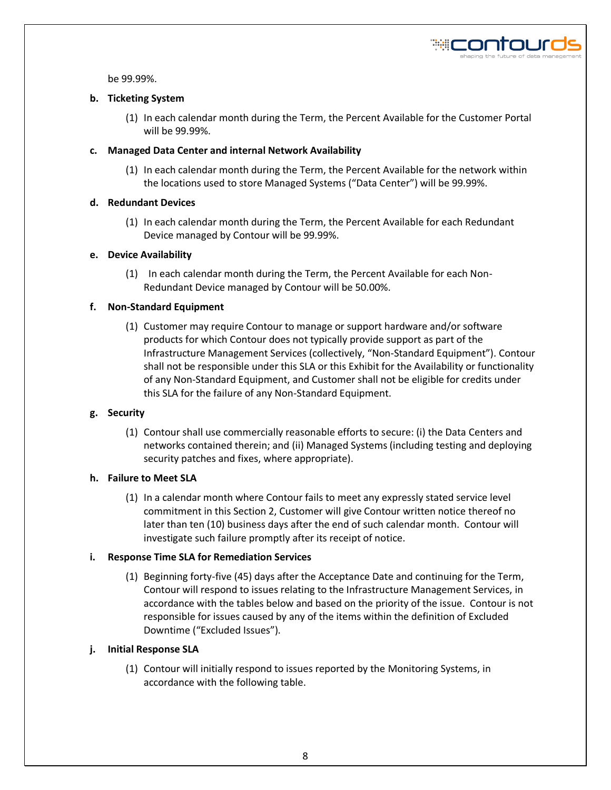

be 99.99%.

### **b. Ticketing System**

(1) In each calendar month during the Term, the Percent Available for the Customer Portal will be 99.99%.

## **c. Managed Data Center and internal Network Availability**

(1) In each calendar month during the Term, the Percent Available for the network within the locations used to store Managed Systems ("Data Center") will be 99.99%.

# **d. Redundant Devices**

(1) In each calendar month during the Term, the Percent Available for each Redundant Device managed by Contour will be 99.99%.

# **e. Device Availability**

(1) In each calendar month during the Term, the Percent Available for each Non-Redundant Device managed by Contour will be 50.00%.

# **f. Non-Standard Equipment**

(1) Customer may require Contour to manage or support hardware and/or software products for which Contour does not typically provide support as part of the Infrastructure Management Services (collectively, "Non-Standard Equipment"). Contour shall not be responsible under this SLA or this Exhibit for the Availability or functionality of any Non-Standard Equipment, and Customer shall not be eligible for credits under this SLA for the failure of any Non-Standard Equipment.

#### **g. Security**

(1) Contour shall use commercially reasonable efforts to secure: (i) the Data Centers and networks contained therein; and (ii) Managed Systems (including testing and deploying security patches and fixes, where appropriate).

#### **h. Failure to Meet SLA**

(1) In a calendar month where Contour fails to meet any expressly stated service level commitment in this Section 2, Customer will give Contour written notice thereof no later than ten (10) business days after the end of such calendar month. Contour will investigate such failure promptly after its receipt of notice.

# **i. Response Time SLA for Remediation Services**

(1) Beginning forty-five (45) days after the Acceptance Date and continuing for the Term, Contour will respond to issues relating to the Infrastructure Management Services, in accordance with the tables below and based on the priority of the issue. Contour is not responsible for issues caused by any of the items within the definition of Excluded Downtime ("Excluded Issues").

# **j. Initial Response SLA**

(1) Contour will initially respond to issues reported by the Monitoring Systems, in accordance with the following table.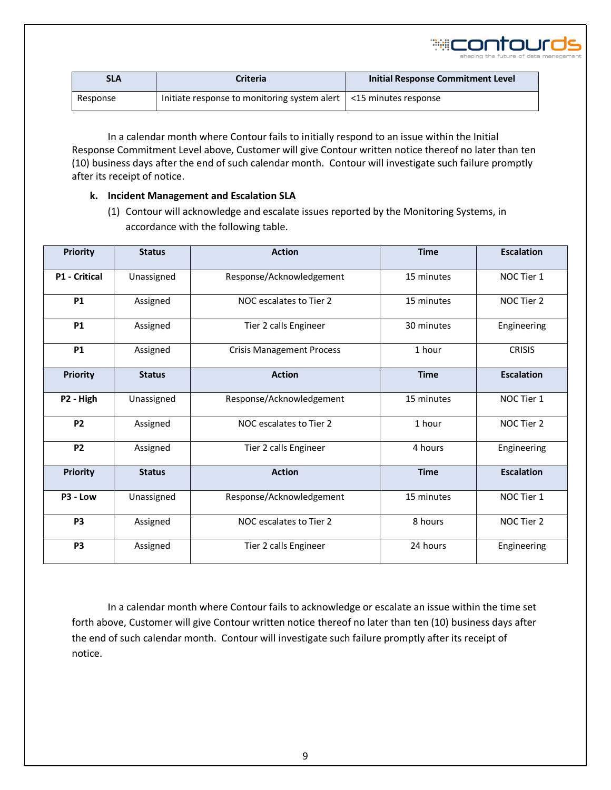

| <b>SLA</b> | Criteria                                                            | Initial Response Commitment Level |
|------------|---------------------------------------------------------------------|-----------------------------------|
| Response   | Initiate response to monitoring system alert   <15 minutes response |                                   |

In a calendar month where Contour fails to initially respond to an issue within the Initial Response Commitment Level above, Customer will give Contour written notice thereof no later than ten (10) business days after the end of such calendar month. Contour will investigate such failure promptly after its receipt of notice.

#### **k. Incident Management and Escalation SLA**

(1) Contour will acknowledge and escalate issues reported by the Monitoring Systems, in accordance with the following table.

| <b>Priority</b>      | <b>Status</b> | <b>Action</b>                          | <b>Time</b> | <b>Escalation</b> |  |
|----------------------|---------------|----------------------------------------|-------------|-------------------|--|
| <b>P1 - Critical</b> | Unassigned    | Response/Acknowledgement               | 15 minutes  | NOC Tier 1        |  |
| <b>P1</b>            | Assigned      | NOC escalates to Tier 2                | 15 minutes  | NOC Tier 2        |  |
| <b>P1</b>            | Assigned      | Tier 2 calls Engineer<br>30 minutes    |             | Engineering       |  |
| <b>P1</b>            | Assigned      | <b>Crisis Management Process</b>       | 1 hour      | <b>CRISIS</b>     |  |
| <b>Priority</b>      | <b>Status</b> | <b>Action</b><br><b>Time</b>           |             | <b>Escalation</b> |  |
| P2 - High            | Unassigned    | Response/Acknowledgement<br>15 minutes |             | NOC Tier 1        |  |
| P <sub>2</sub>       | Assigned      | NOC escalates to Tier 2                | 1 hour      | NOC Tier 2        |  |
| <b>P2</b>            | Assigned      | Tier 2 calls Engineer                  | 4 hours     | Engineering       |  |
| <b>Priority</b>      | <b>Status</b> | <b>Action</b>                          | <b>Time</b> |                   |  |
| P3 - Low             | Unassigned    | Response/Acknowledgement               | 15 minutes  | NOC Tier 1        |  |
| <b>P3</b>            | Assigned      | 8 hours<br>NOC escalates to Tier 2     |             | NOC Tier 2        |  |
| P <sub>3</sub>       | Assigned      | Tier 2 calls Engineer                  | 24 hours    | Engineering       |  |

In a calendar month where Contour fails to acknowledge or escalate an issue within the time set forth above, Customer will give Contour written notice thereof no later than ten (10) business days after the end of such calendar month. Contour will investigate such failure promptly after its receipt of notice.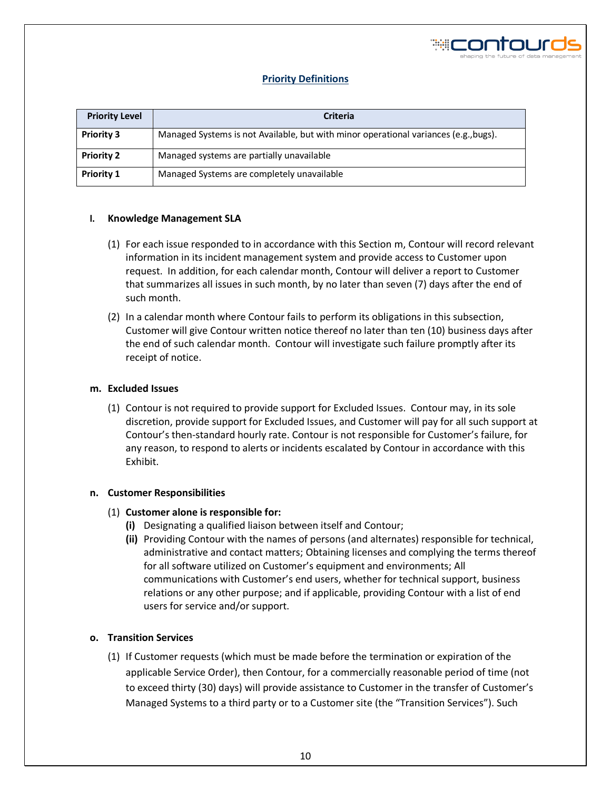

#### **Priority Definitions**

| <b>Priority Level</b> | <b>Criteria</b>                                                                      |  |
|-----------------------|--------------------------------------------------------------------------------------|--|
| <b>Priority 3</b>     | Managed Systems is not Available, but with minor operational variances (e.g., bugs). |  |
| <b>Priority 2</b>     | Managed systems are partially unavailable                                            |  |
| <b>Priority 1</b>     | Managed Systems are completely unavailable                                           |  |

#### **l. Knowledge Management SLA**

- (1) For each issue responded to in accordance with this Section m, Contour will record relevant information in its incident management system and provide access to Customer upon request. In addition, for each calendar month, Contour will deliver a report to Customer that summarizes all issues in such month, by no later than seven (7) days after the end of such month.
- (2) In a calendar month where Contour fails to perform its obligations in this subsection, Customer will give Contour written notice thereof no later than ten (10) business days after the end of such calendar month. Contour will investigate such failure promptly after its receipt of notice.

#### **m. Excluded Issues**

(1) Contour is not required to provide support for Excluded Issues. Contour may, in its sole discretion, provide support for Excluded Issues, and Customer will pay for all such support at Contour's then-standard hourly rate. Contour is not responsible for Customer's failure, for any reason, to respond to alerts or incidents escalated by Contour in accordance with this Exhibit.

#### **n. Customer Responsibilities**

#### (1) **Customer alone is responsible for:**

- **(i)** Designating a qualified liaison between itself and Contour;
- **(ii)** Providing Contour with the names of persons (and alternates) responsible for technical, administrative and contact matters; Obtaining licenses and complying the terms thereof for all software utilized on Customer's equipment and environments; All communications with Customer's end users, whether for technical support, business relations or any other purpose; and if applicable, providing Contour with a list of end users for service and/or support.

#### **o. Transition Services**

(1) If Customer requests (which must be made before the termination or expiration of the applicable Service Order), then Contour, for a commercially reasonable period of time (not to exceed thirty (30) days) will provide assistance to Customer in the transfer of Customer's Managed Systems to a third party or to a Customer site (the "Transition Services"). Such